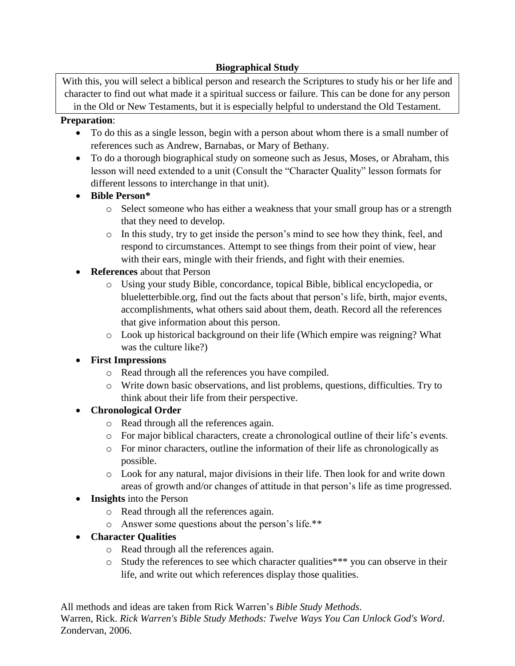# **Biographical Study**

With this, you will select a biblical person and research the Scriptures to study his or her life and character to find out what made it a spiritual success or failure. This can be done for any person in the Old or New Testaments, but it is especially helpful to understand the Old Testament.

#### **Preparation**:

- To do this as a single lesson, begin with a person about whom there is a small number of references such as Andrew, Barnabas, or Mary of Bethany.
- To do a thorough biographical study on someone such as Jesus, Moses, or Abraham, this lesson will need extended to a unit (Consult the "Character Quality" lesson formats for different lessons to interchange in that unit).
- **Bible Person\***
	- o Select someone who has either a weakness that your small group has or a strength that they need to develop.
	- o In this study, try to get inside the person's mind to see how they think, feel, and respond to circumstances. Attempt to see things from their point of view, hear with their ears, mingle with their friends, and fight with their enemies.

## • **References** about that Person

- o Using your study Bible, concordance, topical Bible, biblical encyclopedia, or blueletterbible.org, find out the facts about that person's life, birth, major events, accomplishments, what others said about them, death. Record all the references that give information about this person.
- o Look up historical background on their life (Which empire was reigning? What was the culture like?)

### • **First Impressions**

- o Read through all the references you have compiled.
- o Write down basic observations, and list problems, questions, difficulties. Try to think about their life from their perspective.

### • **Chronological Order**

- o Read through all the references again.
- o For major biblical characters, create a chronological outline of their life's events.
- o For minor characters, outline the information of their life as chronologically as possible.
- o Look for any natural, major divisions in their life. Then look for and write down areas of growth and/or changes of attitude in that person's life as time progressed.
- **Insights** into the Person
	- o Read through all the references again.
	- o Answer some questions about the person's life.\*\*

### • **Character Qualities**

- o Read through all the references again.
- o Study the references to see which character qualities\*\*\* you can observe in their life, and write out which references display those qualities.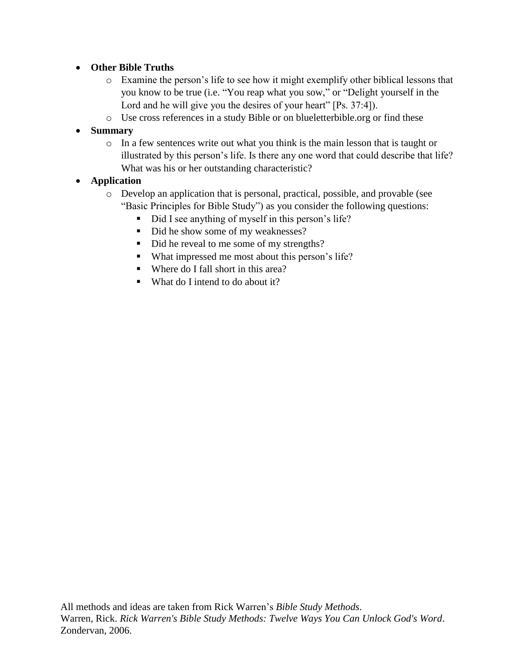# • **Other Bible Truths**

- o Examine the person's life to see how it might exemplify other biblical lessons that you know to be true (i.e. "You reap what you sow," or "Delight yourself in the Lord and he will give you the desires of your heart" [Ps. 37:4]).
- o Use cross references in a study Bible or on blueletterbible.org or find these

## • **Summary**

o In a few sentences write out what you think is the main lesson that is taught or illustrated by this person's life. Is there any one word that could describe that life? What was his or her outstanding characteristic?

# • **Application**

- o Develop an application that is personal, practical, possible, and provable (see "Basic Principles for Bible Study") as you consider the following questions:
	- Did I see anything of myself in this person's life?
	- Did he show some of my weaknesses?
	- Did he reveal to me some of my strengths?
	- What impressed me most about this person's life?
	- Where do I fall short in this area?
	- What do I intend to do about it?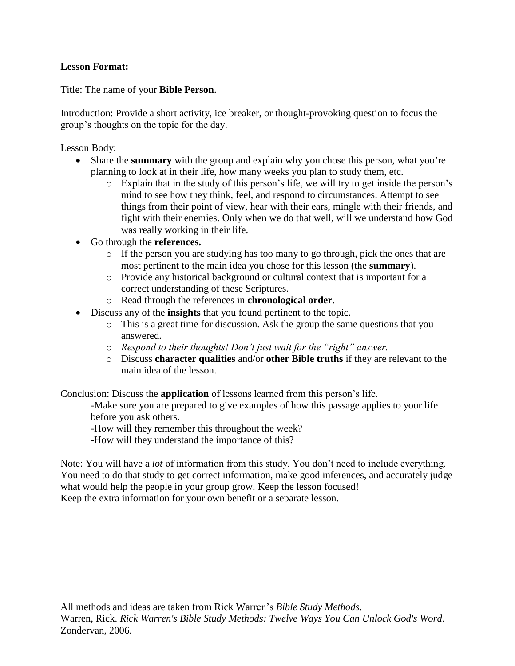#### **Lesson Format:**

Title: The name of your **Bible Person**.

Introduction: Provide a short activity, ice breaker, or thought-provoking question to focus the group's thoughts on the topic for the day.

Lesson Body:

- Share the **summary** with the group and explain why you chose this person, what you're planning to look at in their life, how many weeks you plan to study them, etc.
	- o Explain that in the study of this person's life, we will try to get inside the person's mind to see how they think, feel, and respond to circumstances. Attempt to see things from their point of view, hear with their ears, mingle with their friends, and fight with their enemies. Only when we do that well, will we understand how God was really working in their life.
- Go through the **references.**
	- o If the person you are studying has too many to go through, pick the ones that are most pertinent to the main idea you chose for this lesson (the **summary**).
	- o Provide any historical background or cultural context that is important for a correct understanding of these Scriptures.
	- o Read through the references in **chronological order**.
- Discuss any of the **insights** that you found pertinent to the topic.
	- o This is a great time for discussion. Ask the group the same questions that you answered.
	- o *Respond to their thoughts! Don't just wait for the "right" answer.*
	- o Discuss **character qualities** and/or **other Bible truths** if they are relevant to the main idea of the lesson.

Conclusion: Discuss the **application** of lessons learned from this person's life.

-Make sure you are prepared to give examples of how this passage applies to your life before you ask others.

-How will they remember this throughout the week?

-How will they understand the importance of this?

Note: You will have a *lot* of information from this study. You don't need to include everything. You need to do that study to get correct information, make good inferences, and accurately judge what would help the people in your group grow. Keep the lesson focused! Keep the extra information for your own benefit or a separate lesson.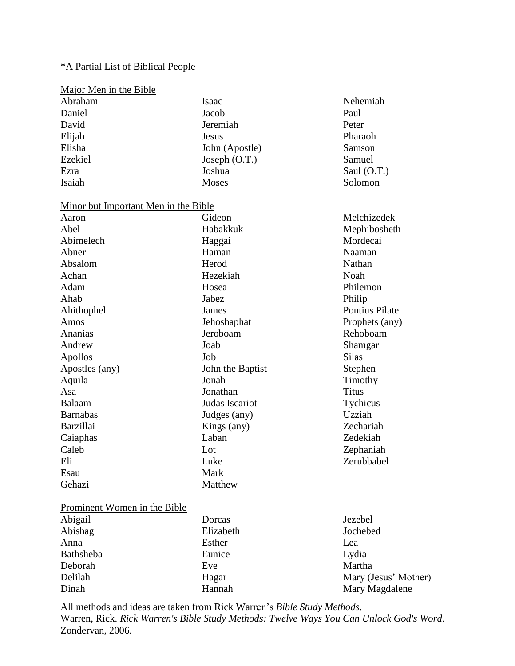# \*A Partial List of Biblical People

| Major Men in the Bible               |                  |                      |  |  |
|--------------------------------------|------------------|----------------------|--|--|
| Abraham                              | Isaac            | Nehemiah             |  |  |
| Daniel                               | Jacob            | Paul                 |  |  |
| David                                | Jeremiah         | Peter                |  |  |
| Elijah                               | Jesus            | Pharaoh              |  |  |
| Elisha                               | John (Apostle)   | Samson               |  |  |
| Ezekiel                              | Joseph $(O.T.)$  | Samuel               |  |  |
| Ezra                                 | Joshua           | Saul (O.T.)          |  |  |
| Isaiah                               | <b>Moses</b>     | Solomon              |  |  |
| Minor but Important Men in the Bible |                  |                      |  |  |
| Aaron                                | Gideon           | Melchizedek          |  |  |
| Abel                                 | Habakkuk         | Mephibosheth         |  |  |
| Abimelech                            | Haggai           | Mordecai             |  |  |
| Abner                                | Haman            | Naaman               |  |  |
| Absalom                              | Herod            | Nathan               |  |  |
| Achan                                | Hezekiah         | Noah                 |  |  |
| Adam                                 | Hosea            | Philemon             |  |  |
| Ahab                                 | Jabez            | Philip               |  |  |
| Ahithophel                           | James            | Pontius Pilate       |  |  |
| Amos                                 | Jehoshaphat      | Prophets (any)       |  |  |
| Ananias                              | Jeroboam         | Rehoboam             |  |  |
| Andrew                               | Joab             | Shamgar              |  |  |
| Apollos                              | Job              | <b>Silas</b>         |  |  |
| Apostles (any)                       | John the Baptist | Stephen              |  |  |
| Aquila                               | Jonah            | Timothy              |  |  |
| Asa                                  | Jonathan         | <b>Titus</b>         |  |  |
| Balaam                               | Judas Iscariot   | Tychicus             |  |  |
| <b>Barnabas</b>                      | Judges (any)     | Uzziah               |  |  |
| Barzillai                            | Kings (any)      | Zechariah            |  |  |
| Caiaphas                             | Laban            | Zedekiah             |  |  |
| Caleb                                | Lot              | Zephaniah            |  |  |
| Eli                                  | Luke             | Zerubbabel           |  |  |
| Esau                                 | Mark             |                      |  |  |
| Gehazi                               | Matthew          |                      |  |  |
| Prominent Women in the Bible         |                  |                      |  |  |
| Abigail                              | Dorcas           | Jezebel              |  |  |
| Abishag                              | Elizabeth        | Jochebed             |  |  |
| Anna                                 | Esther           | Lea                  |  |  |
| Bathsheba                            | Eunice           | Lydia                |  |  |
| Deborah                              | Eve              | Martha               |  |  |
| Delilah                              | Hagar            | Mary (Jesus' Mother) |  |  |
| Dinah                                | Hannah           | Mary Magdalene       |  |  |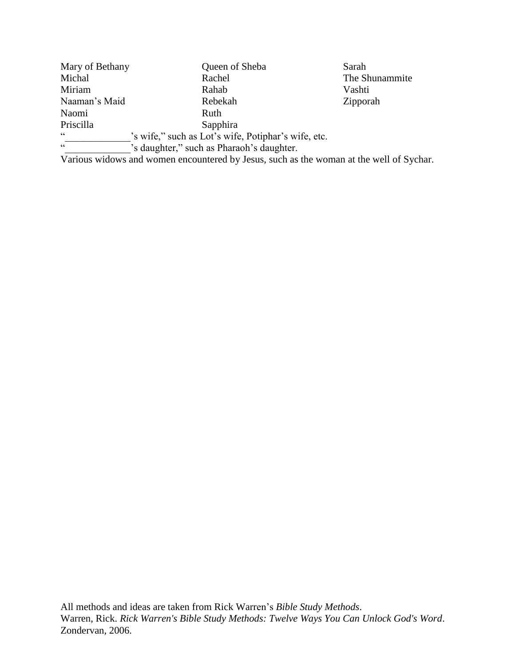| Mary of Bethany | Queen of Sheba                                      | Sarah          |
|-----------------|-----------------------------------------------------|----------------|
| Michal          | Rachel                                              | The Shunammite |
| Miriam          | Rahab                                               | Vashti         |
| Naaman's Maid   | Rebekah                                             | Zipporah       |
| Naomi           | Ruth                                                |                |
| Priscilla       | Sapphira                                            |                |
| $\epsilon$      | 's wife," such as Lot's wife, Potiphar's wife, etc. |                |
| $\epsilon$      | 's daughter," such as Pharaoh's daughter.           |                |
| $ -$            |                                                     |                |

Various widows and women encountered by Jesus, such as the woman at the well of Sychar.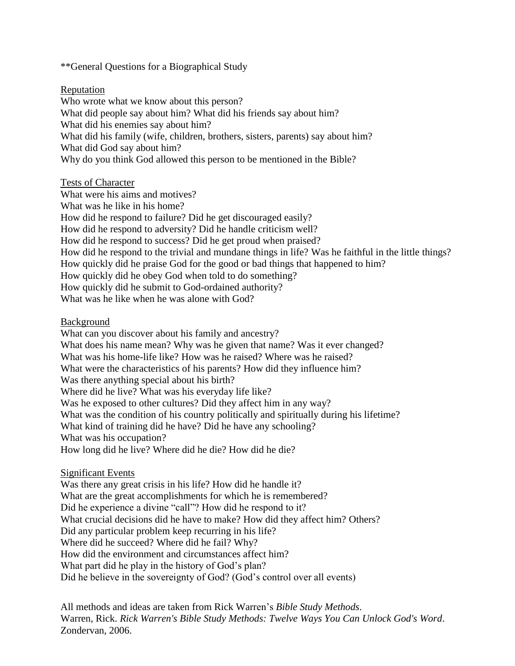\*\*General Questions for a Biographical Study

#### Reputation

Who wrote what we know about this person? What did people say about him? What did his friends say about him? What did his enemies say about him? What did his family (wife, children, brothers, sisters, parents) say about him? What did God say about him? Why do you think God allowed this person to be mentioned in the Bible?

#### Tests of Character

What were his aims and motives? What was he like in his home? How did he respond to failure? Did he get discouraged easily? How did he respond to adversity? Did he handle criticism well? How did he respond to success? Did he get proud when praised? How did he respond to the trivial and mundane things in life? Was he faithful in the little things? How quickly did he praise God for the good or bad things that happened to him? How quickly did he obey God when told to do something? How quickly did he submit to God-ordained authority? What was he like when he was alone with God?

#### Background

What can you discover about his family and ancestry? What does his name mean? Why was he given that name? Was it ever changed? What was his home-life like? How was he raised? Where was he raised? What were the characteristics of his parents? How did they influence him? Was there anything special about his birth? Where did he live? What was his everyday life like? Was he exposed to other cultures? Did they affect him in any way? What was the condition of his country politically and spiritually during his lifetime? What kind of training did he have? Did he have any schooling? What was his occupation? How long did he live? Where did he die? How did he die?

### Significant Events

Was there any great crisis in his life? How did he handle it? What are the great accomplishments for which he is remembered? Did he experience a divine "call"? How did he respond to it? What crucial decisions did he have to make? How did they affect him? Others? Did any particular problem keep recurring in his life? Where did he succeed? Where did he fail? Why? How did the environment and circumstances affect him? What part did he play in the history of God's plan? Did he believe in the sovereignty of God? (God's control over all events)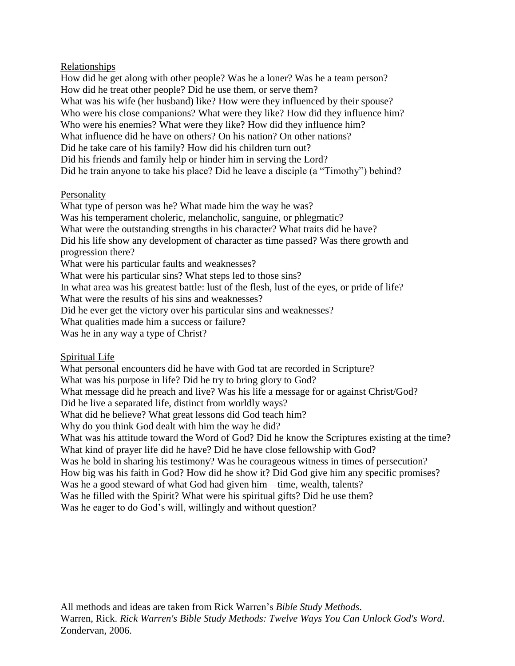## Relationships

How did he get along with other people? Was he a loner? Was he a team person? How did he treat other people? Did he use them, or serve them? What was his wife (her husband) like? How were they influenced by their spouse? Who were his close companions? What were they like? How did they influence him? Who were his enemies? What were they like? How did they influence him? What influence did he have on others? On his nation? On other nations? Did he take care of his family? How did his children turn out? Did his friends and family help or hinder him in serving the Lord? Did he train anyone to take his place? Did he leave a disciple (a "Timothy") behind?

## Personality

What type of person was he? What made him the way he was? Was his temperament choleric, melancholic, sanguine, or phlegmatic? What were the outstanding strengths in his character? What traits did he have? Did his life show any development of character as time passed? Was there growth and progression there? What were his particular faults and weaknesses? What were his particular sins? What steps led to those sins? In what area was his greatest battle: lust of the flesh, lust of the eyes, or pride of life? What were the results of his sins and weaknesses? Did he ever get the victory over his particular sins and weaknesses? What qualities made him a success or failure?

Was he in any way a type of Christ?

Spiritual Life

What personal encounters did he have with God tat are recorded in Scripture?

What was his purpose in life? Did he try to bring glory to God?

What message did he preach and live? Was his life a message for or against Christ/God?

Did he live a separated life, distinct from worldly ways?

What did he believe? What great lessons did God teach him?

Why do you think God dealt with him the way he did?

What was his attitude toward the Word of God? Did he know the Scriptures existing at the time? What kind of prayer life did he have? Did he have close fellowship with God?

Was he bold in sharing his testimony? Was he courageous witness in times of persecution? How big was his faith in God? How did he show it? Did God give him any specific promises? Was he a good steward of what God had given him—time, wealth, talents?

Was he filled with the Spirit? What were his spiritual gifts? Did he use them?

Was he eager to do God's will, willingly and without question?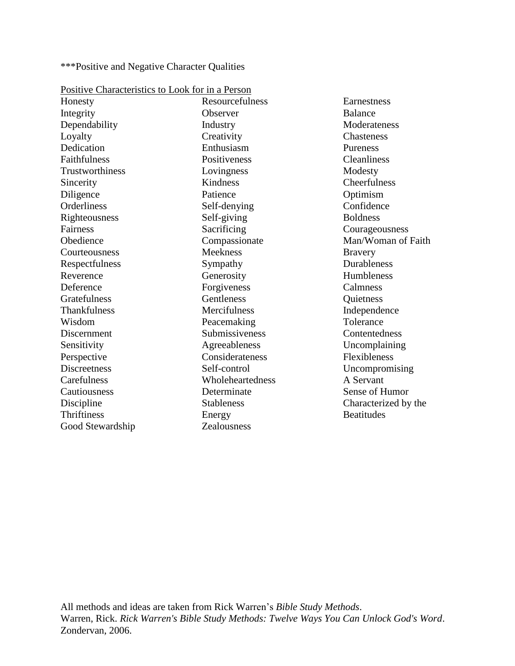\*\*\*Positive and Negative Character Qualities

| Honesty             | Resourcefulness     |
|---------------------|---------------------|
| Integrity           | Observer            |
| Dependability       | Industry            |
| Loyalty             | Creativity          |
| Dedication          | Enthusiasm          |
| Faithfulness        | Positiveness        |
| Trustworthiness     | Lovingness          |
| Sincerity           | Kindness            |
| Diligence           | Patience            |
| Orderliness         | Self-denying        |
| Righteousness       | Self-giving         |
| Fairness            | Sacrificing         |
| Obedience           | Compassionate       |
| Courteousness       | <b>Meekness</b>     |
| Respectfulness      | Sympathy            |
| Reverence           | Generosity          |
| Deference           | Forgiveness         |
| <b>Gratefulness</b> | Gentleness          |
| <b>Thankfulness</b> | <b>Mercifulness</b> |
| Wisdom              | Peacemaking         |
| Discernment         | Submissiveness      |
| Sensitivity         | Agreeableness       |
| Perspective         | Considerateness     |
| Discreetness        | Self-control        |
| Carefulness         | Wholeheartedness    |
| Cautiousness        | Determinate         |
| Discipline          | <b>Stableness</b>   |
| <b>Thriftiness</b>  | Energy              |
| Good Stewardship    | Zealousness         |
|                     |                     |

Earnestness Balance Moderateness **Chasteness** Pureness Cleanliness Modesty Cheerfulness Optimism Confidence Boldness Courageousness Man/Woman of Faith Bravery Durableness Humbleness Calmness **Quietness** Independence Tolerance Contentedness Uncomplaining Flexibleness Uncompromising A Servant Sense of Humor Characterized by the Beatitudes